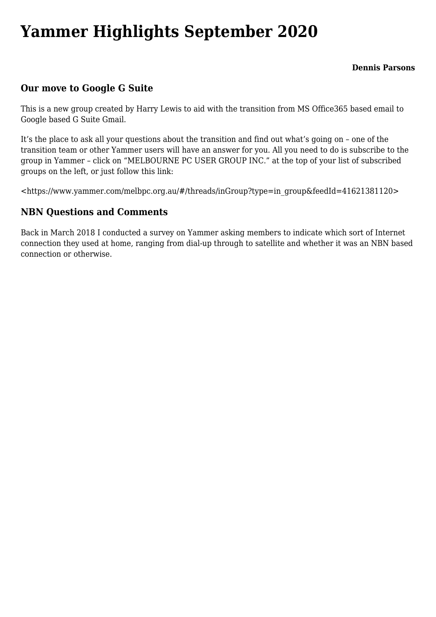## **[Yammer Highlights September 2020](https://www.melbpc.org.au/yammer-highlights-september-2020/)**

**Dennis Parsons**

## **Our move to Google G Suite**

This is a new group created by Harry Lewis to aid with the transition from MS Office365 based email to Google based G Suite Gmail.

It's the place to ask all your questions about the transition and find out what's going on – one of the transition team or other Yammer users will have an answer for you. All you need to do is subscribe to the group in Yammer – click on "MELBOURNE PC USER GROUP INC." at the top of your list of subscribed groups on the left, or just follow this link:

<[https://www.yammer.com/melbpc.org.au/#/threads/inGroup?type=in\\_group&feedId=41621381120>](https://www.yammer.com/melbpc.org.au/#/threads/inGroup?type=in_group&feedId=41621381120)

## **NBN Questions and Comments**

Back in March 2018 I conducted a survey on Yammer asking members to indicate which sort of Internet connection they used at home, ranging from dial-up through to satellite and whether it was an NBN based connection or otherwise.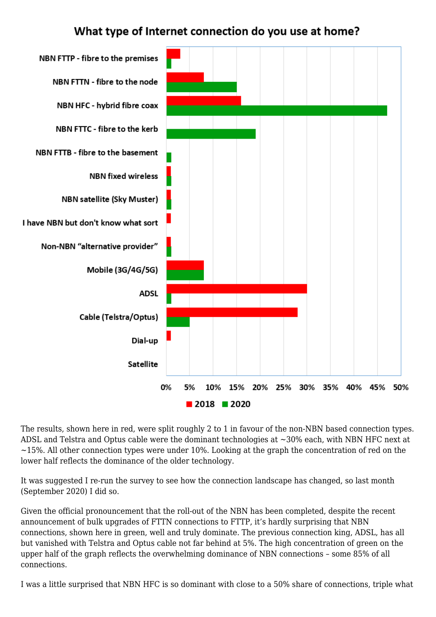## What type of Internet connection do you use at home?



The results, shown here in red, were split roughly 2 to 1 in favour of the non-NBN based connection types. ADSL and Telstra and Optus cable were the dominant technologies at ~30% each, with NBN HFC next at  $\sim$ 15%. All other connection types were under 10%. Looking at the graph the concentration of red on the lower half reflects the dominance of the older technology.

It was suggested I re-run the survey to see how the connection landscape has changed, so last month (September 2020) I did so.

Given the official pronouncement that the roll-out of the NBN has been completed, despite the recent announcement of bulk upgrades of FTTN connections to FTTP, it's hardly surprising that NBN connections, shown here in green, well and truly dominate. The previous connection king, ADSL, has all but vanished with Telstra and Optus cable not far behind at 5%. The high concentration of green on the upper half of the graph reflects the overwhelming dominance of NBN connections – some 85% of all connections.

I was a little surprised that NBN HFC is so dominant with close to a 50% share of connections, triple what